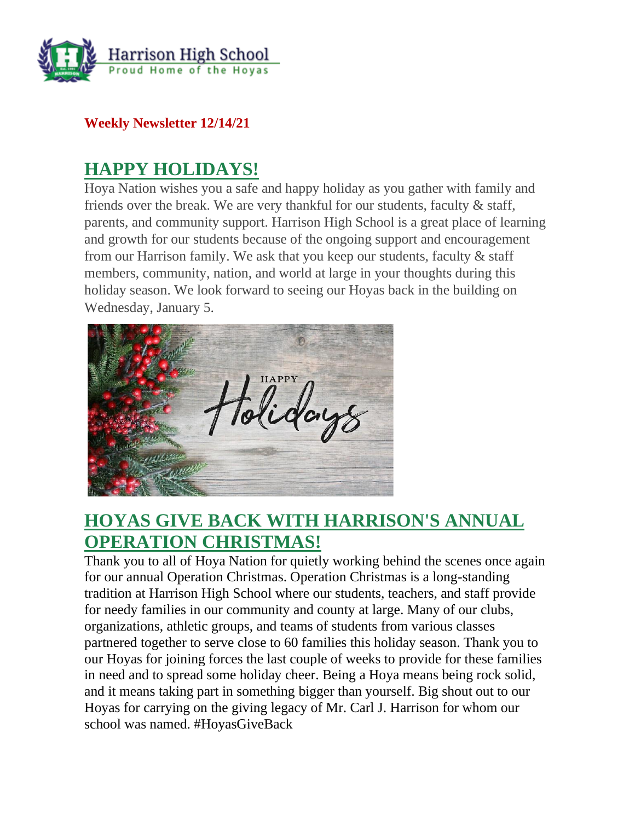

**Weekly Newsletter 12/14/21**

## **HAPPY HOLIDAYS!**

Hoya Nation wishes you a safe and happy holiday as you gather with family and friends over the break. We are very thankful for our students, faculty & staff, parents, and community support. Harrison High School is a great place of learning and growth for our students because of the ongoing support and encouragement from our Harrison family. We ask that you keep our students, faculty & staff members, community, nation, and world at large in your thoughts during this holiday season. We look forward to seeing our Hoyas back in the building on Wednesday, January 5.



## **HOYAS GIVE BACK WITH HARRISON'S ANNUAL OPERATION CHRISTMAS!**

Thank you to all of Hoya Nation for quietly working behind the scenes once again for our annual Operation Christmas. Operation Christmas is a long-standing tradition at Harrison High School where our students, teachers, and staff provide for needy families in our community and county at large. Many of our clubs, organizations, athletic groups, and teams of students from various classes partnered together to serve close to 60 families this holiday season. Thank you to our Hoyas for joining forces the last couple of weeks to provide for these families in need and to spread some holiday cheer. Being a Hoya means being rock solid, and it means taking part in something bigger than yourself. Big shout out to our Hoyas for carrying on the giving legacy of Mr. Carl J. Harrison for whom our school was named. #HoyasGiveBack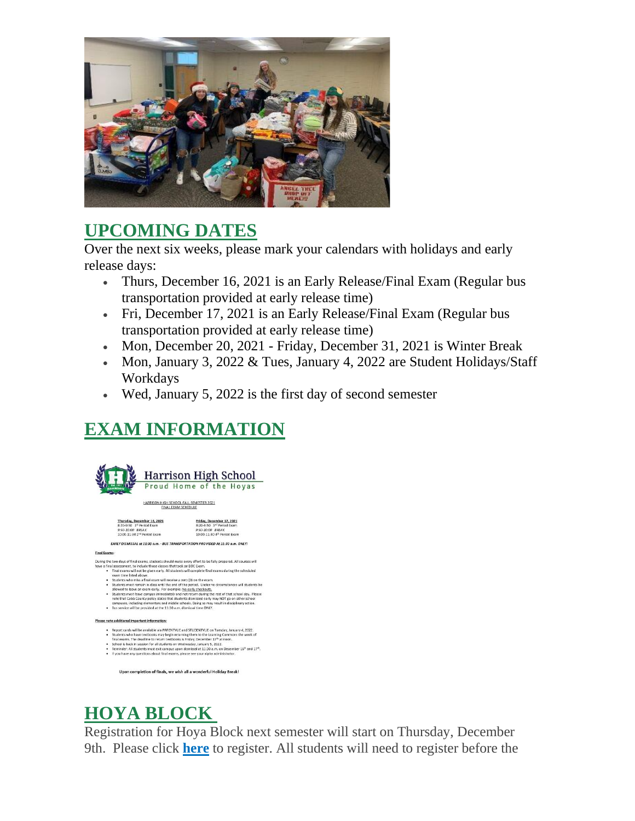

## **UPCOMING DATES**

Over the next six weeks, please mark your calendars with holidays and early release days:

- Thurs, December 16, 2021 is an Early Release/Final Exam (Regular bus transportation provided at early release time)
- Fri, December 17, 2021 is an Early Release/Final Exam (Regular bus transportation provided at early release time)
- Mon, December 20, 2021 Friday, December 31, 2021 is Winter Break
- Mon, January 3, 2022 & Tues, January 4, 2022 are Student Holidays/Staff Workdays
- Wed, January 5, 2022 is the first day of second semester

# **EXAM INFORMATION**



# **HOYA BLOCK**

Registration for Hoya Block next semester will start on Thursday, December 9th. Please click **[here](http://url503.cobbk12.org/ls/click?upn=Lr5Kj85exJaDj793QUoDMxoBFqYG9jsvxI4LoJlDFzMhUCpXbnVhhqIbIvVR7eDkW2lzE7udnvgKuQAcOzbNvqwOcyAOegilze8a86prJ3fs7WsFbuGo7F-2BRKeWxq3SIuaiP11vaI8L0hwp4wkrNqfoN6fZy3-2Fi0LRAg0lkB8izCeheAI-2F2CyN2u5ExeZNDb-w1j_W-2BfLYUoUwwI1tuGClKRhhPOSepcZIFoXnUIMjiA717kQ1i13BNQTwwJ9cl-2BWArXr6-2FDxoCbNFrRaplJKtN7fZ899OK18bRNn-2BNZsISZyTlJiY6UmnVaM6W57DYexPhq0Tu6okW2HfqJpWGXE28F-2B0Jm4j0Kam2rb7B5hTVkCcHYGdAELGg-2BTk-2FE65U6HbT-2BM2RsjUiJI3N96M0fIx4vY62-2F6Zp-2B9hnvvdgkK3olvyU736Jjs00bB5ZusCIbF3MUA-2BLD8El-2BfEy7SO977hrg2fw-3D-3D)** to register. All students will need to register before the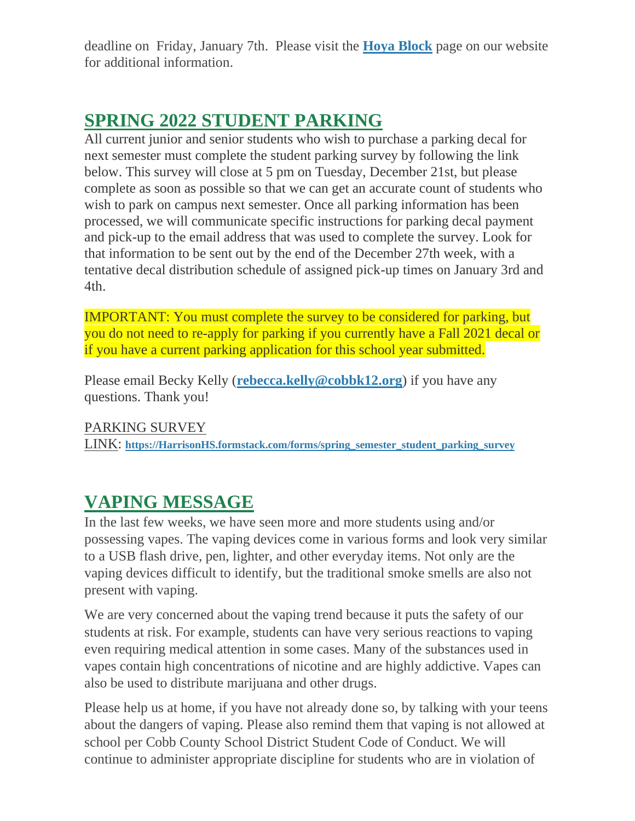deadline on Friday, January 7th. Please visit the **[Hoya Block](http://url503.cobbk12.org/ls/click?upn=oq5wnnHoD1NAxpT8rNAGXMR1eG7MJW44UQRvGTy3TsrYMq-2B5vCvT-2FZh3QX3QFVG1Zf2WVq3mBUwffgB8KB5Wsg-3D-3DgAVA_W-2BfLYUoUwwI1tuGClKRhhPOSepcZIFoXnUIMjiA717kQ1i13BNQTwwJ9cl-2BWArXr6-2FDxoCbNFrRaplJKtN7fZ899OK18bRNn-2BNZsISZyTlJiY6UmnVaM6W57DYexPhq01D4NDS6pn3Iye4TaGZ-2FempVwdTA6GaKjUZ-2FkN-2Bd5BI8qyO7SnExAcUeRn0QycqBaUgsqL3SNniQ91xwsNUwGYL0Wo05e1NYENBM3KpRpIcf90ij7xkrK0qaaDqIgYsyN3rm8Ncxh3uuAssMzEagY8g-3D-3D)** page on our website for additional information.

## **SPRING 2022 STUDENT PARKING**

All current junior and senior students who wish to purchase a parking decal for next semester must complete the student parking survey by following the link below. This survey will close at 5 pm on Tuesday, December 21st, but please complete as soon as possible so that we can get an accurate count of students who wish to park on campus next semester. Once all parking information has been processed, we will communicate specific instructions for parking decal payment and pick-up to the email address that was used to complete the survey. Look for that information to be sent out by the end of the December 27th week, with a tentative decal distribution schedule of assigned pick-up times on January 3rd and 4th.

IMPORTANT: You must complete the survey to be considered for parking, but you do not need to re-apply for parking if you currently have a Fall 2021 decal or if you have a current parking application for this school year submitted.

Please email Becky Kelly (**[rebecca.kelly@cobbk12.org](mailto:rebecca.kelly@cobbk12.org)**) if you have any questions. Thank you!

PARKING SURVEY

LINK: **[https://HarrisonHS.formstack.com/forms/spring\\_semester\\_student\\_parking\\_survey](http://url503.cobbk12.org/ls/click?upn=k2a9oSGmmBVDQ-2BEzH5jEzTLwNsB7PjW5hg5PGN5MBEoDNYx4yj3kqjPckyv8emA-2BNGDUCnQQFe9BJpVJd1DUhhT3d87fYLIpmi-2Bv-2BT-2BiGLRQ8YDGxR0YrKgRditXgTRd272-_W-2BfLYUoUwwI1tuGClKRhhPOSepcZIFoXnUIMjiA717kQ1i13BNQTwwJ9cl-2BWArXr6-2FDxoCbNFrRaplJKtN7fZ899OK18bRNn-2BNZsISZyTlJiY6UmnVaM6W57DYexPhq0VisxEr14ktUTthfYuOOV5ojWKkwzGu4WGebmjXe-2BRbmDfmQfsWkvnJ9bqavp6jbbDDkTiCSPRhvIjV5zMt0Rf9S-2BntWCt8CUQXvYEO64RtshwXgxv-2B6aYiEiOcuPazEyODV9HQrzmy0z5lPKWGdTEA-3D-3D)**

## **VAPING MESSAGE**

In the last few weeks, we have seen more and more students using and/or possessing vapes. The vaping devices come in various forms and look very similar to a USB flash drive, pen, lighter, and other everyday items. Not only are the vaping devices difficult to identify, but the traditional smoke smells are also not present with vaping.

We are very concerned about the vaping trend because it puts the safety of our students at risk. For example, students can have very serious reactions to vaping even requiring medical attention in some cases. Many of the substances used in vapes contain high concentrations of nicotine and are highly addictive. Vapes can also be used to distribute marijuana and other drugs.

Please help us at home, if you have not already done so, by talking with your teens about the dangers of vaping. Please also remind them that vaping is not allowed at school per Cobb County School District Student Code of Conduct. We will continue to administer appropriate discipline for students who are in violation of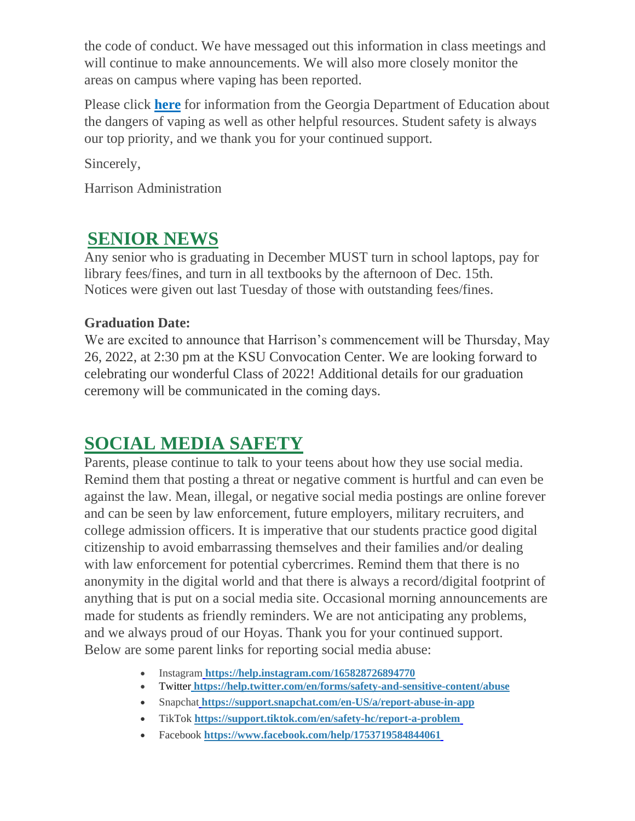the code of conduct. We have messaged out this information in class meetings and will continue to make announcements. We will also more closely monitor the areas on campus where vaping has been reported.

Please click **[here](http://url503.cobbk12.org/ls/click?upn=oq5wnnHoD1NAxpT8rNAGXFUBGqRMUrhNgNtPlhorsnLS-2B0O8XYYlTLUErKOz-2B7S3q6f784XOUEhGHYQx3uT0HtUJji-2BhjZmT1dyoXk8UQn-2ByrMJV3fGo3ZxLRWQDQ36gIolS_W-2BfLYUoUwwI1tuGClKRhhPOSepcZIFoXnUIMjiA717kQ1i13BNQTwwJ9cl-2BWArXr6-2FDxoCbNFrRaplJKtN7fZ899OK18bRNn-2BNZsISZyTlJiY6UmnVaM6W57DYexPhq08sVaf8SNaydNusA5G-2FizFR35rjoDlWjzzTH-2BQ3VH2FTYsl2xrr8njGYeXNIlGAf1veC67UcnXiGyUCAoZiPSxztPSdp2bxpHyfok-2FIc3clRs5BXHAEVsfzxng6UNkBhSKDHySN7SMBw9S1eBLWaeSg-3D-3D)** for information from the Georgia Department of Education about the dangers of vaping as well as other helpful resources. Student safety is always our top priority, and we thank you for your continued support.

Sincerely,

Harrison Administration

## **SENIOR NEWS**

Any senior who is graduating in December MUST turn in school laptops, pay for library fees/fines, and turn in all textbooks by the afternoon of Dec. 15th. Notices were given out last Tuesday of those with outstanding fees/fines.

### **Graduation Date:**

We are excited to announce that Harrison's commencement will be Thursday, May 26, 2022, at 2:30 pm at the KSU Convocation Center. We are looking forward to celebrating our wonderful Class of 2022! Additional details for our graduation ceremony will be communicated in the coming days.

## **SOCIAL MEDIA SAFETY**

Parents, please continue to talk to your teens about how they use social media. Remind them that posting a threat or negative comment is hurtful and can even be against the law. Mean, illegal, or negative social media postings are online forever and can be seen by law enforcement, future employers, military recruiters, and college admission officers. It is imperative that our students practice good digital citizenship to avoid embarrassing themselves and their families and/or dealing with law enforcement for potential cybercrimes. Remind them that there is no anonymity in the digital world and that there is always a record/digital footprint of anything that is put on a social media site. Occasional morning announcements are made for students as friendly reminders. We are not anticipating any problems, and we always proud of our Hoyas. Thank you for your continued support. Below are some parent links for reporting social media abuse:

- Instagra[m](http://url503.cobbk12.org/ls/click?upn=k2a9oSGmmBVDQ-2BEzH5jEzcI5QFNwqlulDRw0JLYHpg2BxWEk7pe3MTErs3ecXc1wrv8i71U-2BVbF-2FhChsPWOaxw-3D-3DVAp4_W-2BfLYUoUwwI1tuGClKRhhPOSepcZIFoXnUIMjiA717kQ1i13BNQTwwJ9cl-2BWArXr6-2FDxoCbNFrRaplJKtN7fZ899OK18bRNn-2BNZsISZyTlJiY6UmnVaM6W57DYexPhq0xXIEKryZg6Qs1DLBSnUGVALWQqzNg-2FzDTCs0tULg6TJ9llUIyW9Pel7BnkE7LEULIberdb-2FlBZxZ1mEVkvMP1-2BXUG7k-2FBUqCcfbHLPX64g-2Fw0RR9UVd0zugJ-2FNecU9VGYwAB2Dzmgeqir20RjfGC-2FQ-3D-3D) **[https://help.instagram.com/165828726894770](http://url503.cobbk12.org/ls/click?upn=k2a9oSGmmBVDQ-2BEzH5jEzcI5QFNwqlulDRw0JLYHpg2BxWEk7pe3MTErs3ecXc1wrv8i71U-2BVbF-2FhChsPWOaxw-3D-3D6G4E_W-2BfLYUoUwwI1tuGClKRhhPOSepcZIFoXnUIMjiA717kQ1i13BNQTwwJ9cl-2BWArXr6-2FDxoCbNFrRaplJKtN7fZ899OK18bRNn-2BNZsISZyTlJiY6UmnVaM6W57DYexPhq0jdVMdXucuAIvlITPdB6h1Me6l5EOT02x2fnhuJhIRugsxi5ev0ses9XEsuZp6C5e6o3JtaO7JKQdFS6LF164hs7jARr4LHk6LaIuwVCsIQrR4w8bolawey8lw533Lg7wX6iH0eAgAalYZ7E8rAhjmg-3D-3D)**
- Twitte[r](http://url503.cobbk12.org/ls/click?upn=k2a9oSGmmBVDQ-2BEzH5jEzR-2BDhITICOS7RMQN4FouZJKjE8sUbxMTcMoUu3W-2Fm0ozIPX-2BQ-2BA4J3pYZR3yw-2BVT28-2FaJNONWzbJws3TGqfwJAw-3D5bRW_W-2BfLYUoUwwI1tuGClKRhhPOSepcZIFoXnUIMjiA717kQ1i13BNQTwwJ9cl-2BWArXr6-2FDxoCbNFrRaplJKtN7fZ899OK18bRNn-2BNZsISZyTlJiY6UmnVaM6W57DYexPhq0-2F3-2FcarpsCT5-2BZZWGDLRddVEViNjL-2BvMSIEqezzEJhk4qwfJan9LJ6a-2FCzvhfHg-2FLEjLZyu-2FascDFxIHVVZkzywE-2FytOrkhT0MixUx8e-2Fo-2Bg6yw5KS5pwTEhIx84DywCTS7Wnj-2BTPhPp8pl5Mgx2n0g-3D-3D) **[https://help.twitter.com/en/forms/safety-and-sensitive-content/abuse](http://url503.cobbk12.org/ls/click?upn=k2a9oSGmmBVDQ-2BEzH5jEzR-2BDhITICOS7RMQN4FouZJKjE8sUbxMTcMoUu3W-2Fm0ozIPX-2BQ-2BA4J3pYZR3yw-2BVT28-2FaJNONWzbJws3TGqfwJAw-3DOtmM_W-2BfLYUoUwwI1tuGClKRhhPOSepcZIFoXnUIMjiA717kQ1i13BNQTwwJ9cl-2BWArXr6-2FDxoCbNFrRaplJKtN7fZ899OK18bRNn-2BNZsISZyTlJiY6UmnVaM6W57DYexPhq0lnVzvzS1f7GnXn6QRq2U0IKdXBmxSDTIf7n9-2FxNlihihyUeV4XNDmnK7pLGKR8GWO3lwyi-2FU1YNumg9sC8LgjVKFXG8LI2TUV1uSuqEf24yAE4z-2B5mRyAEkDRxPRNG6fsKp1sPPzgvRQKTdEmaoMlg-3D-3D)**
- Snapchat **[https://support.snapchat.com/en-US/a/report-abuse-in-app](http://url503.cobbk12.org/ls/click?upn=lifxRKNE4qaF4JWLXkbAsl2c6ajj-2FliP2he2mhXGRu6E-2Bf0FxVgpc-2FTJGfl5E15vjg4gQXS852Pr0XfsZ9uSgA-3D-3DuT2s_W-2BfLYUoUwwI1tuGClKRhhPOSepcZIFoXnUIMjiA717kQ1i13BNQTwwJ9cl-2BWArXr6-2FDxoCbNFrRaplJKtN7fZ899OK18bRNn-2BNZsISZyTlJiY6UmnVaM6W57DYexPhq0MpvWOHwPBw4ufhXinU8V3ZwQw-2Bef-2BZiGZQE3Zws5iEGh-2F-2Bz5335Zz1aUM2kBsg4Ch0bBlswA3Qh-2B0R7x4Pa0jkWlZHMARU-2F1-2BDYljbqXC2tpa0oA0K2oxTBph6DHpgrDHqcrNKiJJggjvwo7WS8YRg-3D-3D)**
- TikTok **[https://support.tiktok.com/en/safety-hc/report-a-problem](http://url503.cobbk12.org/ls/click?upn=lifxRKNE4qaF4JWLXkbAsodzc3mOHT2rqycJw3vOcoIqYYG-2Bp072HTZvgXZ4I5V6BABE5dYMwdl-2FtiCOXEsBlA-3D-3Dl2e5_W-2BfLYUoUwwI1tuGClKRhhPOSepcZIFoXnUIMjiA717kQ1i13BNQTwwJ9cl-2BWArXr6-2FDxoCbNFrRaplJKtN7fZ899OK18bRNn-2BNZsISZyTlJiY6UmnVaM6W57DYexPhq0ZyEZWTu5jTHptVpH45QdaJkBUFPPKnHaluq0SakjpetGbpgI9ZvArHM8K54TYD8-2BoMx13yRnPOJlI6RZQkTsOvyIRNAkdqoqGNd9bve-2BlehMvjnaGlf-2B9HXW9SKIJKZrrGDsjzy-2FZeSMNeHvcSIoVw-3D-3D)**
- Facebook **[https://www.facebook.com/help/1753719584844061](http://url503.cobbk12.org/ls/click?upn=oq5wnnHoD1NAxpT8rNAGXKbxe0Ggy2RgqToOMTISfcS1TzscQgkJ4DBJrNpIrEfISU31IJgwW3pczfXTopJrDw-3D-3DsiBE_W-2BfLYUoUwwI1tuGClKRhhPOSepcZIFoXnUIMjiA717kQ1i13BNQTwwJ9cl-2BWArXr6-2FDxoCbNFrRaplJKtN7fZ899OK18bRNn-2BNZsISZyTlJiY6UmnVaM6W57DYexPhq0CalcpILPfZlJdNcals5HOC8d2gc-2BfJcPVekmuScHieNxPBCEJxe1ACOwhRyyzElaxRW2S5A14Wqlqdi0jzhFtybmWnzoUsVMGww3fHZvcYMcATH5gvY-2FvTOh6GqEDnBnRcHR4arbyK9l9yQJK9-2BShQ-3D-3D)**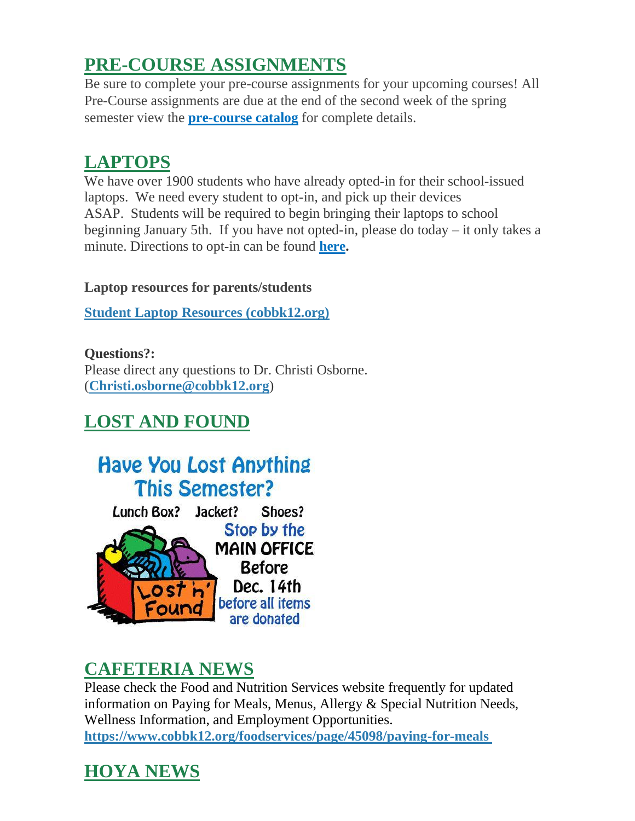## **PRE-COURSE ASSIGNMENTS**

Be sure to complete your pre-course assignments for your upcoming courses! All Pre-Course assignments are due at the end of the second week of the spring semester view the **[pre-course catalog](http://url503.cobbk12.org/ls/click?upn=lifxRKNE4qaF4JWLXkbAsjh7ycX9GyI4V6qRbFFivNpp-2B3syQ-2BF1CRoHOrZqfnEtQcfUXEzQ4WYketaNTGV340xDrtszQl4MMmDJOpYGkIqOdI9knBrxIYgBj-2By1dR0-2FLDWrEwd9IPGJDTjbe0j9QA-3D-3Dlmdm_W-2BfLYUoUwwI1tuGClKRhhPOSepcZIFoXnUIMjiA717kQ1i13BNQTwwJ9cl-2BWArXr6-2FDxoCbNFrRaplJKtN7fZ899OK18bRNn-2BNZsISZyTlJiY6UmnVaM6W57DYexPhq0JdS5hp0eUFpCmgTs7-2BZlzN9crl7wuxvo4SqO9czC2xK9d4FQ6kc12xr5ls5mZr7P5btpWQdO5-2Frwm8vgc7Mdchq5Ws8fPyU2C57gx-2BL16I6zvGFHG9GCv3lnl8JL2e7pVCu33-2FEaZTvYD9yIc7DvWg-3D-3D)** for complete details.

# **LAPTOPS**

We have over 1900 students who have already opted-in for their school-issued laptops. We need every student to opt-in, and pick up their devices ASAP. Students will be required to begin bringing their laptops to school beginning January 5th. If you have not opted-in, please do today – it only takes a minute. Directions to opt-in can be found **[here.](http://url503.cobbk12.org/ls/click?upn=HU5K2q0Fz5ADTGboxPzOzUx-2FoxqvD40X8ef2vsqiBoK5lUpmPrrJUiWhJvXNIfJ270vmIswmX8KcH-2BqvxZwQo6gvxu00a9aZXsbo8PzdGuZO-2FACLIJYdhejZvcbBZazU2n5W_W-2BfLYUoUwwI1tuGClKRhhPOSepcZIFoXnUIMjiA717kQ1i13BNQTwwJ9cl-2BWArXr6-2FDxoCbNFrRaplJKtN7fZ899OK18bRNn-2BNZsISZyTlJiY6UmnVaM6W57DYexPhq0ITVqGJ8oyj8FhnHBjRgWQEmqHK06EQrPEVQaqd5voTf0H07PJXN6BS4YSJAzokyD9tRORDuZIIpMdidOyC8-2BHfiU1d-2FXHN02rgrFSFjDnahJbbqFMTj3f2GRAG3tmFxOU5dIImV3dbU6S3g-2F29LTVw-3D-3D)**

### **Laptop resources for parents/students**

**[Student Laptop Resources \(cobbk12.org\)](http://url503.cobbk12.org/ls/click?upn=oq5wnnHoD1NAxpT8rNAGXLeSSs2oqQ-2BhsGA3S2AoidlfqYpCnN6-2FTWAmCCDZ7Fd0tHb8UCpzRCosnvoUQ1Kpw4zhWA2wpm8gP1uNKhgLY0c-3DH61__W-2BfLYUoUwwI1tuGClKRhhPOSepcZIFoXnUIMjiA717kQ1i13BNQTwwJ9cl-2BWArXr6-2FDxoCbNFrRaplJKtN7fZ899OK18bRNn-2BNZsISZyTlJiY6UmnVaM6W57DYexPhq0JJzsTHr37o26bHe9TWZxOqdjjS-2BgVdg2XYP8C7XVFN7JPjOUwqK5yT4KdKDDzPyaki83wzF-2Bm0jTOIMSg-2BdWJDkVJaRbkVx9dDRG1G09GAJ8QvwQGXekd5RS-2BFk6bNCeRjaUwMMIhUaLVxba-2FQiELw-3D-3D)**

**Questions?:** Please direct any questions to Dr. Christi Osborne. (**[Christi.osborne@cobbk12.org](mailto:Christi.osborne@cobbk12.org)**)

# **LOST AND FOUND**



## **CAFETERIA NEWS**

Please check the Food and Nutrition Services website frequently for updated information on Paying for Meals, Menus, Allergy & Special Nutrition Needs, Wellness Information, and Employment Opportunities. **[https://www.cobbk12.org/foodservices/page/45098/paying-for-meals](http://url503.cobbk12.org/ls/click?upn=oq5wnnHoD1NAxpT8rNAGXIgEcF6cFUXUYIe-2B8AO3LVyx4t4OJsNWVhu0iEI2j90fBOcAAqhr4f3pHktzPZuYg83p0mcu7zlRbWoKDhAG9jg-3Du8Gb_W-2BfLYUoUwwI1tuGClKRhhPOSepcZIFoXnUIMjiA717kQ1i13BNQTwwJ9cl-2BWArXr6-2FDxoCbNFrRaplJKtN7fZ899OK18bRNn-2BNZsISZyTlJiY6UmnVaM6W57DYexPhq09ZQ7H9PgxRybH19U7uDyXm1KSfUsUhQeW620I6JQvRhS0uWWEYASSnzRJttWBCqTiWJznPeD0GCuhwNt5-2BxUUL6Hgrlp1SAu1ojpOjT-2FEd4xvkJdUD0uivHCPEv2Gv3yt5LtsmC2bgjyM4WckQzqEA-3D-3D)**

# **HOYA NEWS**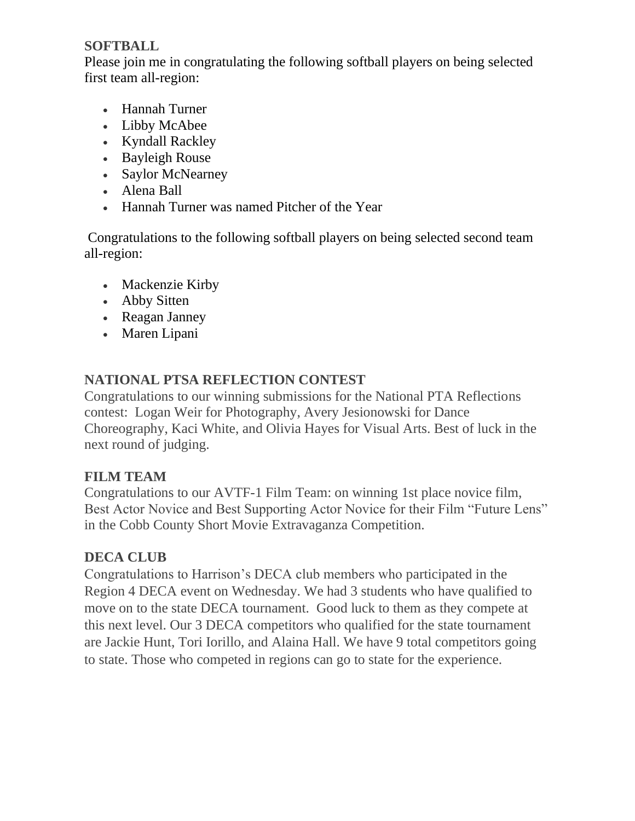#### **SOFTBALL**

Please join me in congratulating the following softball players on being selected first team all-region:

- Hannah Turner
- Libby McAbee
- Kyndall Rackley
- Bayleigh Rouse
- Saylor McNearney
- Alena Ball
- Hannah Turner was named Pitcher of the Year

Congratulations to the following softball players on being selected second team all-region:

- Mackenzie Kirby
- Abby Sitten
- Reagan Janney
- Maren Lipani

### **NATIONAL PTSA REFLECTION CONTEST**

Congratulations to our winning submissions for the National PTA Reflections contest: Logan Weir for Photography, Avery Jesionowski for Dance Choreography, Kaci White, and Olivia Hayes for Visual Arts. Best of luck in the next round of judging.

### **FILM TEAM**

Congratulations to our AVTF-1 Film Team: on winning 1st place novice film, Best Actor Novice and Best Supporting Actor Novice for their Film "Future Lens" in the Cobb County Short Movie Extravaganza Competition.

### **DECA CLUB**

Congratulations to Harrison's DECA club members who participated in the Region 4 DECA event on Wednesday. We had 3 students who have qualified to move on to the state DECA tournament. Good luck to them as they compete at this next level. Our 3 DECA competitors who qualified for the state tournament are Jackie Hunt, Tori Iorillo, and Alaina Hall. We have 9 total competitors going to state. Those who competed in regions can go to state for the experience.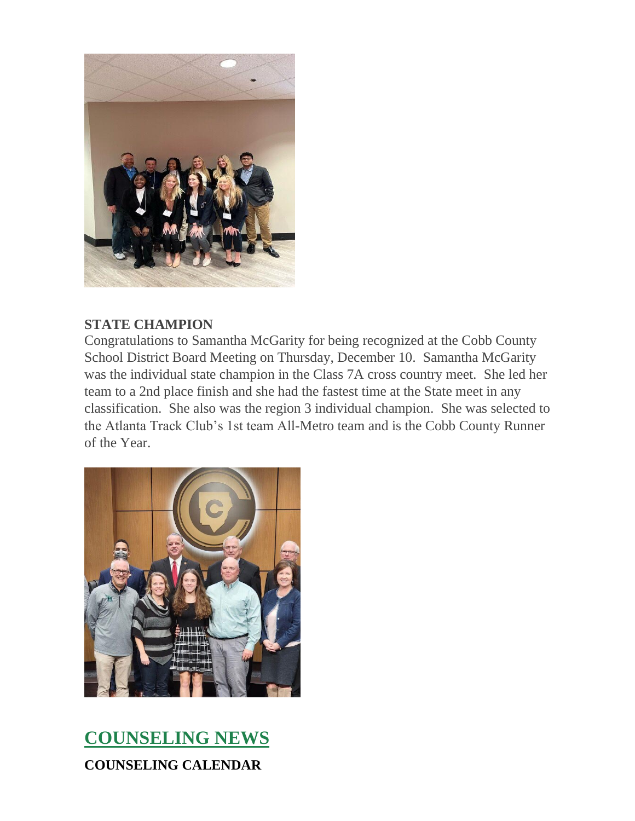

#### **STATE CHAMPION**

Congratulations to Samantha McGarity for being recognized at the Cobb County School District Board Meeting on Thursday, December 10. Samantha McGarity was the individual state champion in the Class 7A cross country meet. She led her team to a 2nd place finish and she had the fastest time at the State meet in any classification. She also was the region 3 individual champion. She was selected to the Atlanta Track Club's 1st team All-Metro team and is the Cobb County Runner of the Year.



# **COUNSELING NEWS COUNSELING CALENDAR**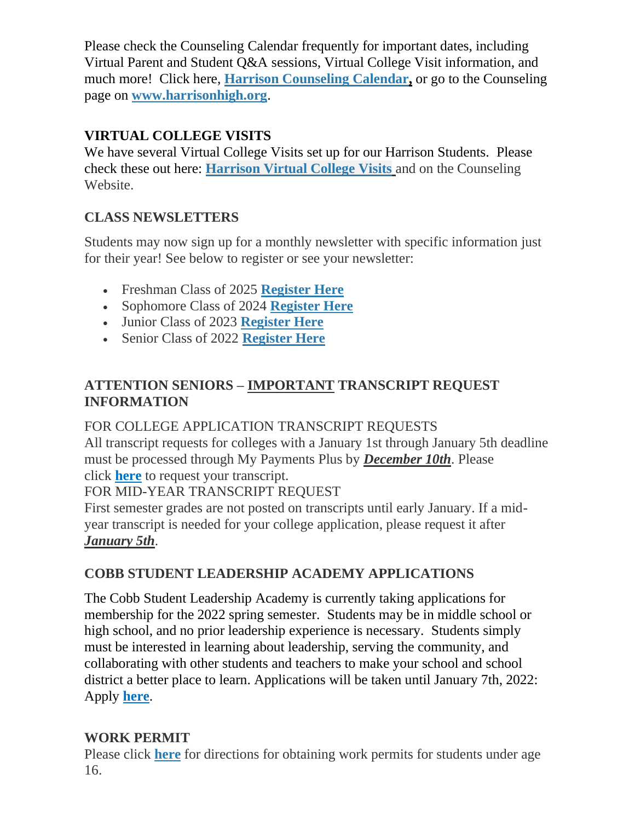Please check the Counseling Calendar frequently for important dates, including Virtual Parent and Student Q&A sessions, Virtual College Visit information, and much more! Click here, **[Harrison Counseling Calendar,](http://url503.cobbk12.org/ls/click?upn=G8An3K6JlHsR8QtKBFuzdoB1znjZkDc3Km2Sgf1PHVpycz16KMZXgXgxh3dcC-2FS8NJmdhIjRhMEVOdXvIran0PoO612nc8dPRxDRKmrySvOyPaCPkwQVxnm5P9WY4kGuByjjBLs9jX8AnVcQz2F0xdPJWUq-2BTqmbYJsClRyFwEgRo9BS-2BibqsB2DQhPPMblV7M40_W-2BfLYUoUwwI1tuGClKRhhPOSepcZIFoXnUIMjiA717kQ1i13BNQTwwJ9cl-2BWArXr6-2FDxoCbNFrRaplJKtN7fZ899OK18bRNn-2BNZsISZyTlJiY6UmnVaM6W57DYexPhq0a9Cj4FB0yftYGcIr2FQ6lfts0elLMch5-2FIunVd3PdJvZqkhslvCBViBGZ8xJzHoIT7wHkYdQDO4eYvlGsUTo-2FYMZj-2BkeGIytiwVh6wuVmcb9pZPYQU9Y7EBg8YcNHBKQNe7uRGf-2Bt-2FAfUg2VN0ObvQ-3D-3D)** or go to the Counseling page on **[www.harrisonhigh.org](http://url503.cobbk12.org/ls/click?upn=oq5wnnHoD1NAxpT8rNAGXO9pgQjsMrFEdSeXOUfDN1SmFc2KsGzpApGt0h4W-2BnTi3qOMFT0pAhpU4g9jzi2oghIA-2BD5qxCmArcny4yPncCY-3Duh7T_W-2BfLYUoUwwI1tuGClKRhhPOSepcZIFoXnUIMjiA717kQ1i13BNQTwwJ9cl-2BWArXr6-2FDxoCbNFrRaplJKtN7fZ899OK18bRNn-2BNZsISZyTlJiY6UmnVaM6W57DYexPhq0SPIh3cbyWXWc9dYcJPQ-2Fjvv-2F1u-2FnDLB2QDs8-2F7Ql4Xh8t-2Fb79KutXMyfJQLNWDMbBohWV1m8DtGobZpQeX6wmq-2BJAsWdbOdyAejY5xCHbaaPA8TplA8FwK5g35Rp4yakZsaOOvpoF7R5-2F7m3L3pgNg-3D-3D)**.

### **VIRTUAL COLLEGE VISITS**

We have several Virtual College Visits set up for our Harrison Students. Please check these out here: **[Harrison Virtual College Visits](http://url503.cobbk12.org/ls/click?upn=G8An3K6JlHsR8QtKBFuzdogXPJqD3Uz2QqY8s2OfxygfiXPa-2BLVg3oKWlcUFgjTffPxwSarE77p-2FOfJTl3QvbpgPiFEQheAZA772IpRJMifiqQmDkS-2BKBGjOIoKGjM7QQDhTGARgZvMYUugThyMfc1u3H422O6jO2zhAvrxBFglXp3F6gpegHyc5A3y-2BtXoarMbtV-2FDS2nSwRHJx513wzw-3D-3DuB4X_W-2BfLYUoUwwI1tuGClKRhhPOSepcZIFoXnUIMjiA717kQ1i13BNQTwwJ9cl-2BWArXr6-2FDxoCbNFrRaplJKtN7fZ899OK18bRNn-2BNZsISZyTlJiY6UmnVaM6W57DYexPhq02wif1u3SHT3SeHXq3TYj46RcT7cPPJER0bf8AuCQzZINfVBzndzJQORzGoq-2Bx-2BxiPyjzJNsb-2Bb6u-2FmGktjJFR5uiQrKAcdhHCvNHtCtqI419-2BfaXzMDpN9d7fybVC6NGCfJUKg7on-2Fbxo2EchlWDfw-3D-3D)** and on the Counseling Website.

### **CLASS NEWSLETTERS**

Students may now sign up for a monthly newsletter with specific information just for their year! See below to register or see your newsletter:

- Freshman Class of 2025 **[Register Here](http://url503.cobbk12.org/ls/click?upn=kYpeu9rJVSU1acS4VG0V9dP8zXnygu7Up5qBE7usQ1gecV2TljFL8x98-2BlIBHTra483oT8HWv3BxbUy1y3g1YeWdW9sa2LS-2F5w6HFZr3PgLxrhiZkbHoYBWQGDSdz2kXILYM-2FJ-2BSPWKqDyK12NTWkgvzxO-2FFJ9gN4PVObUCSdU1fk1yz4FmcHq9hJ3Q3Q4V6UdIBfJAXLaqHgFMyGvvd-2FpK7e9mIcvQGZo4uJhNvTc1Kji4l1I5UBDBgmW3KG31gPt9pK0vJphNQslEthlpOJHjEJ83dV8EnQ8QqVRizvq-2B5MPcjYBmTiroyon6zl6uKeDWHIHrN6Wu8XJh4Y4cbXjqkQYzI9zYOF7xv63GRoZfGtWV69kMIvjA0YXw2m9vQc3YBPUFJF1V4INUQLWdX2Sgfp2YSi9rJ38mTAEfj8zudFjqg8n0W1xgHY2UfKh8APtdPCGbZ5wDKDv2NZ4BrITyK1PYDFEcZHU23jzRAyxDJpzgbCYbd-2F-2BU-2B1W2bDsCYkKN7qXMplPZjBgyFA3Hg5z0G7krrDh-2B18mL3NEFKL9kKgpSlJnMfNJV5ZQUHinyxsfFs1lr09oTN8Quv3Ae3ma8qeN3rIzhJpWagWC5khIGIRQMW0Qm6lGoN9Kt6B7FfB0sk6WJb9SCaM4LbR0CcWA-3D-3DJR8L_W-2BfLYUoUwwI1tuGClKRhhPOSepcZIFoXnUIMjiA717kQ1i13BNQTwwJ9cl-2BWArXr6-2FDxoCbNFrRaplJKtN7fZ899OK18bRNn-2BNZsISZyTlJiY6UmnVaM6W57DYexPhq02usqGjKCnnsrkUFKdM9GfZ6AmIJ8P1wlpA-2BiBKqDJArX83Dtf7-2F6hUY-2BOL9Bpnwu0jjH8EES-2FAVA2cz1FrrjdbwK4BxI-2FvgSaCrN7ovcNrVHjS67MCbrGqe7csA673doZ9xpx9667DbjDVjb3Inl3A-3D-3D)**
- Sophomore Class of 2024 **[Register Here](http://url503.cobbk12.org/ls/click?upn=kYpeu9rJVSU1acS4VG0V9dP8zXnygu7Up5qBE7usQ1ge7I2QSEuv2APaQuIa8x0SfNNzVhu-2FzuTLLNHDo4H9B-2FS-2BoCXMUyalfdWpWAjyUrsveExMWen9qSeIHGDWfPxR-2F3l-2FazmP2ice12OKB6DjjTnz4E4bXv8tDObpjUG2o4A1jJmkswTDUwmJ6EDuccDdUh5S7WbJ4nRN5Go-2FXCDBq60js7jyIUIS9mM51HZ5GdtxuZCx2LvEeg3rEbL0cfYX7iOEl8KVI324JvbLe0d8nNv9vJo7lQMfqkpwCVrTWnqm0owKR-2F7gM2AJJ2qA675yd5FGjb9opWthaCddSWftN9O3F-2BiKwVTVr52GRjxZO8ZzXYgg-2FPinEtPc4971hQ78c0GkYJRLLtH-2FsFrPCN7zwTfMfbZ6ZNmpUmtJ8kxDWik-2FGId0aAdcnBtb3GnF5nyfzsgK24mLww-2BUs-2BGY1h9pdtERSRl-2B7tzc1puEHqrhikJxVhp-2B4jNOjbj832ycgSIq5QmQO2Z3Ch0QkMd17q1obMcqEir3nfOfj4LeviCwyOhOZjqYypwIKB9BNWeR9UBBCJwxApc2fqrk5L8RaeVYHw-3D-3DjoES_W-2BfLYUoUwwI1tuGClKRhhPOSepcZIFoXnUIMjiA717kQ1i13BNQTwwJ9cl-2BWArXr6-2FDxoCbNFrRaplJKtN7fZ899OK18bRNn-2BNZsISZyTlJiY6UmnVaM6W57DYexPhq0WJc32P-2Bcj1dyrzqfjRnb98Ny-2BfkFre6Pt-2BQFoNTGbeocLZ5do34bRJgs9IXufarE8DBmLFCaYdBcnh2NwtEqeRMHzdzvo96JHcbPvasElkBqc8NnMa7AREFDFDmqhDeZ62li3xXE7PaiOFrgYjQvPA-3D-3D)**
- Junior Class of 2023 **[Register Here](http://url503.cobbk12.org/ls/click?upn=kYpeu9rJVSU1acS4VG0V9dP8zXnygu7Up5qBE7usQ1ge7I2QSEuv2APaQuIa8x0SfNNzVhu-2FzuTLLNHDo4H9B5jz3vqmyjT89r85-2FYb3p93477wgUkfjd4LozZgOBfY-2F30qwVU5XQYuoBfljRITfjOa4-2FfmDuL8g6vm3E1cPtscwIj6LmyX8OWH589a-2Fmu5XojG-2FjKzGzWHJAWGOgPIX5Os7cSkTVU-2FsS65wLCX4EuCycFVeq-2F-2FxNUPJiuKphU8wMvooHHEDMRp0tZG8eNQRO0TA2lKMOR8JUiaCLY2jC46OyqwyZchSKt818rKnE1A-2BOW-2B7TpqxtyzM-2FsoJPhVIjg8MBMLFYB-2FqxGI3gff3P-2FI8wHbjbKr04gdvcvEMjYSwci-2F6VBWP2ihFXRhfvKSIY4cdDCq-2FPekPXAaAdZuxFgxHvw6ZOz72hd97Ivtb676GF6auevKMN70YpumnWSKT5jaBAZ7021CiH6N1g7gKRb1jy0zhACOpFPynR-2BkAcWv0r-2Fay7DPrpnkoECyWhGddUwYEacyd0l8HtHpmuBQQR37KLJU6OEZ3-2FV8YoJudzVjHu1aGWugqwzaY-2FVreRKKfwrkMOnyX22jg9T234JFx7ivONt-2BznsLUAK90WupRywQp-3rG_W-2BfLYUoUwwI1tuGClKRhhPOSepcZIFoXnUIMjiA717kQ1i13BNQTwwJ9cl-2BWArXr6-2FDxoCbNFrRaplJKtN7fZ899OK18bRNn-2BNZsISZyTlJiY6UmnVaM6W57DYexPhq0zavcXxxFt-2FLzG-2F-2FAce07kxNSTCfQDJ6UYnYbU7WJT73jYwOFUZwXBkYIeTqdd33d4LQe9-2F6ZbOieA2zVF2c6DkbxZ41snd6FrNNkorjs2wLp7t-2BgMMBJOgkwiwmt52-2BhgUYM-2Ft3J3L7tCpKeXhuL-2FQ-3D-3D)**
- Senior Class of 2022 **[Register Here](http://url503.cobbk12.org/ls/click?upn=kYpeu9rJVSU1acS4VG0V9dP8zXnygu7Up5qBE7usQ1gecV2TljFL8x98-2BlIBHTra483oT8HWv3BxbUy1y3g1YeWdW9sa2LS-2F5w6HFZr3PgLxrhiZkbHoYBWQGDSdz2kXILYM-2FJ-2BSPWKqDyK12NTWkgvzxO-2FFJ9gN4PVObUCSdU1fk1yz4FmcHq9hJ3Q3Q4V6KqEqmNrfDfW6ksRHYN8qWv-2BedKj7JLVaKAH5d7e0HDQc7-2BT0LwMfJuKg9Ey78szRRVocnP1os8ukBMZkT9-2BZghfli3d8yqIXXb-2FKPPoWKZol0rSM7XdEczmCeezRV-2B6uEenAtTNqjpLHnTmZ-2F7rY6pUislNco6qzF5KEokmZsJcFukRg-2F7dDw8W-2BLfdanaYNPFmyTPLz6ISmseJCXkEctQ2Hr5k3qIdx-2Fh6Mw-2F-2BBmMfkpb98qpCyaCsmSFP4DuF6U6T96NmRDGwmqUrjHS6M7uJUIVPBGrwU0YauHgrUdl3pR8Fpkj4mLKtfj0AoaOrG9XZMt1nUhDUBXbks4AdobjfeDGt8KNGKmZdfOchfhfU8H87XVeP-2FbPTe7EGYKyXwlIHV-2FG0pi1iPYKf8ek-2B2KDkV0WR2dU2zPEsw10q-2F-2B0-2FJWwpN2hMl-2BFBcy6ZbfXqMD2IYX-2BxUJBuKJd0Un0nnVg-3D-3Da8eL_W-2BfLYUoUwwI1tuGClKRhhPOSepcZIFoXnUIMjiA717kQ1i13BNQTwwJ9cl-2BWArXr6-2FDxoCbNFrRaplJKtN7fZ899OK18bRNn-2BNZsISZyTlJiY6UmnVaM6W57DYexPhq0dmJ2E23XNI7rqcXoQJ5IwWE2MAApaq7p02m1TeIW-2Fpi3Uv7glQVWsYUMyvmoA86RruwYbT-2B-2B4sID0M3IwpV5iWiB0WEKERXIIYaUxxEeK9pJEXwEkUTeMAafcyxxbHM4W1DGx0CxzVNkmxEENFNciA-3D-3D)**

### **ATTENTION SENIORS – IMPORTANT TRANSCRIPT REQUEST INFORMATION**

### FOR COLLEGE APPLICATION TRANSCRIPT REQUESTS

All transcript requests for colleges with a January 1st through January 5th deadline must be processed through My Payments Plus by *December 10th*. Please click **[here](http://url503.cobbk12.org/ls/click?upn=HU5K2q0Fz5ADTGboxPzOzV-2FXL0qE7BYVJk79MoYchrbS-2B-2BPvFNzCqRtAWujduLnXKrI5Tcb7M2X9wfzkRlhjQvpLT0KvIGKvwZqo2V8CQzU-3DN560_W-2BfLYUoUwwI1tuGClKRhhPOSepcZIFoXnUIMjiA717kQ1i13BNQTwwJ9cl-2BWArXr6-2FDxoCbNFrRaplJKtN7fZ899OK18bRNn-2BNZsISZyTlJiY6UmnVaM6W57DYexPhq02KXNTH-2B7-2BlWQDWQ9nSyQvIzVrLIDBRGBoeEPE5cLmp58vb7qmzqAC-2FhT7lwyYlQjODkGACI1XCG3pxtmzpqww9cdPlX5Og0TNht-2BvEl73I8YSiGUZ-2BH3cR0VOHYNjSt7U7Q02nwCcnP5Z2v1mOSInA-3D-3D)** to request your transcript.

FOR MID-YEAR TRANSCRIPT REQUEST

First semester grades are not posted on transcripts until early January. If a midyear transcript is needed for your college application, please request it after *January 5th*.

### **COBB STUDENT LEADERSHIP ACADEMY APPLICATIONS**

The Cobb Student Leadership Academy is currently taking applications for membership for the 2022 spring semester. Students may be in middle school or high school, and no prior leadership experience is necessary. Students simply must be interested in learning about leadership, serving the community, and collaborating with other students and teachers to make your school and school district a better place to learn. Applications will be taken until January 7th, 2022: Apply **[here](http://url503.cobbk12.org/ls/click?upn=Lr5Kj85exJaDj793QUoDMyW95FnMm6X-2FbjyUKnhH2pa7eaW9N3NYlAtFsq7zZIUmVMbl_W-2BfLYUoUwwI1tuGClKRhhPOSepcZIFoXnUIMjiA717kQ1i13BNQTwwJ9cl-2BWArXr6-2FDxoCbNFrRaplJKtN7fZ899OK18bRNn-2BNZsISZyTlJiY6UmnVaM6W57DYexPhq0dMlxKUwU3yAUcoaj16OKQsj04Qp3XOtH-2BrzAhP4sA3b2JKzW2c38qtIB-2F5Ynk1ugsQxyivfJvXe1vTq4yANI4mwkPv-2F2nvYNHSBoZWcgFicD7dyCtGfgWFEutxSOQMJAoKGYHbcpjca528GzARhRUQ-3D-3D)**.

### **WORK PERMIT**

Please click **[here](http://url503.cobbk12.org/ls/click?upn=HU5K2q0Fz5ADTGboxPzOzV-2FXL0qE7BYVJk79MoYchragV5467tisWoPAB9agzSUHDsbqBYccGjiUhV-2FDTHAbpapsLFisWAfYtS-2FB87HhzALBJIiH1yo6DrPdn5r31JRck4D1_W-2BfLYUoUwwI1tuGClKRhhPOSepcZIFoXnUIMjiA717kQ1i13BNQTwwJ9cl-2BWArXr6-2FDxoCbNFrRaplJKtN7fZ899OK18bRNn-2BNZsISZyTlJiY6UmnVaM6W57DYexPhq0eyC0vJj0UsQCwl1N1R-2FiJCTjgdOXeW1ybh7LUVfsIJC2aonFUoA-2F7vlecCPnBIiwahTaWeu1XfN47eREkWAlMTEBSqKB5QwQ0sv2FKGRS8MEdsG8gpqoLy7h65TNmk7AcOE8PYgPrJlF-2BUjgNblT0Q-3D-3D)** for directions for obtaining work permits for students under age 16.